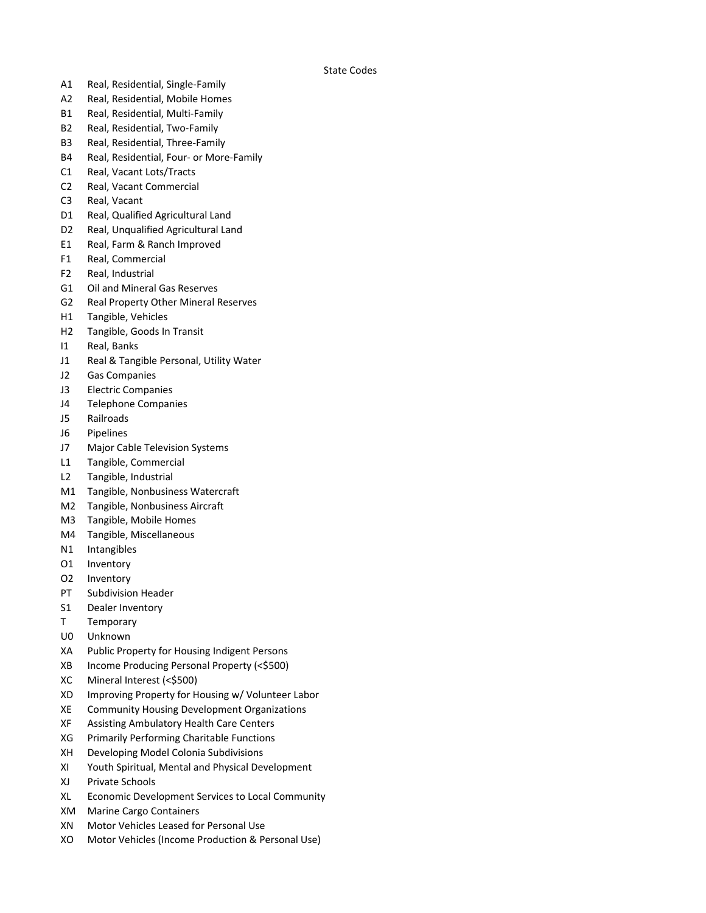State Codes

- A1 Real, Residential, Single-Family
- A2 Real, Residential, Mobile Homes
- B1 Real, Residential, Multi-Family
- B2 Real, Residential, Two-Family
- B3 Real, Residential, Three-Family
- B4 Real, Residential, Four- or More-Family
- C1 Real, Vacant Lots/Tracts
- C2 Real, Vacant Commercial
- C3 Real, Vacant
- D1 Real, Qualified Agricultural Land
- D2 Real, Unqualified Agricultural Land
- E1 Real, Farm & Ranch Improved
- F1 Real, Commercial
- F2 Real, Industrial
- G1 Oil and Mineral Gas Reserves
- G2 Real Property Other Mineral Reserves
- H1 Tangible, Vehicles
- H2 Tangible, Goods In Transit
- I1 Real, Banks
- J1 Real & Tangible Personal, Utility Water
- J2 Gas Companies
- J3 Electric Companies
- J4 Telephone Companies
- J5 Railroads
- J6 Pipelines
- J7 Major Cable Television Systems
- L1 Tangible, Commercial
- L2 Tangible, Industrial
- M1 Tangible, Nonbusiness Watercraft
- M2 Tangible, Nonbusiness Aircraft
- M3 Tangible, Mobile Homes
- M4 Tangible, Miscellaneous
- N1 Intangibles
- O1 Inventory
- O2 Inventory
- PT Subdivision Header
- S1 Dealer Inventory
- T Temporary
- U0 Unknown
- XA Public Property for Housing Indigent Persons
- XB Income Producing Personal Property (<\$500)
- XC Mineral Interest (<\$500)
- XD Improving Property for Housing w/ Volunteer Labor
- XE Community Housing Development Organizations
- XF Assisting Ambulatory Health Care Centers
- XG Primarily Performing Charitable Functions
- XH Developing Model Colonia Subdivisions
- XI Youth Spiritual, Mental and Physical Development
- XJ Private Schools
- XL Economic Development Services to Local Community
- XM Marine Cargo Containers
- XN Motor Vehicles Leased for Personal Use
- XO Motor Vehicles (Income Production & Personal Use)